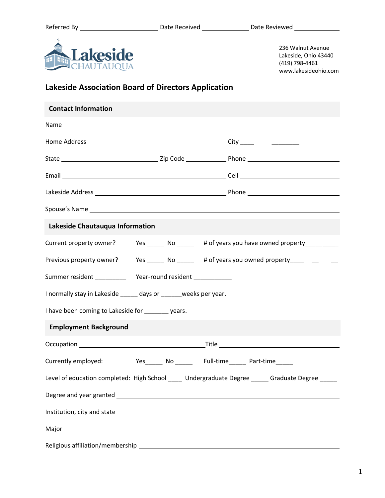

236 Walnut Avenue Lakeside, Ohio 43440 (419) 798-4461 www.lakesideohio.com

## **Lakeside Association Board of Directors Application**

| <b>Contact Information</b>                                                                      |                                                                                         |                                                                            |  |  |  |  |
|-------------------------------------------------------------------------------------------------|-----------------------------------------------------------------------------------------|----------------------------------------------------------------------------|--|--|--|--|
|                                                                                                 |                                                                                         |                                                                            |  |  |  |  |
|                                                                                                 |                                                                                         |                                                                            |  |  |  |  |
|                                                                                                 |                                                                                         |                                                                            |  |  |  |  |
|                                                                                                 |                                                                                         |                                                                            |  |  |  |  |
|                                                                                                 |                                                                                         |                                                                            |  |  |  |  |
|                                                                                                 |                                                                                         |                                                                            |  |  |  |  |
| Lakeside Chautauqua Information                                                                 |                                                                                         |                                                                            |  |  |  |  |
| Current property owner?                                                                         |                                                                                         | Yes ________ No __________ # of years you have owned property ____________ |  |  |  |  |
|                                                                                                 | Previous property owner? Yes ______ No ______ # of years you owned property ___________ |                                                                            |  |  |  |  |
|                                                                                                 |                                                                                         |                                                                            |  |  |  |  |
| I normally stay in Lakeside _____ days or _____ weeks per year.                                 |                                                                                         |                                                                            |  |  |  |  |
| I have been coming to Lakeside for ________ years.                                              |                                                                                         |                                                                            |  |  |  |  |
| <b>Employment Background</b>                                                                    |                                                                                         |                                                                            |  |  |  |  |
|                                                                                                 |                                                                                         |                                                                            |  |  |  |  |
|                                                                                                 |                                                                                         | Currently employed: Yes______ No ______ Full-time______ Part-time______    |  |  |  |  |
| Level of education completed: High School ____ Undergraduate Degree _____ Graduate Degree _____ |                                                                                         |                                                                            |  |  |  |  |
|                                                                                                 |                                                                                         |                                                                            |  |  |  |  |
|                                                                                                 |                                                                                         |                                                                            |  |  |  |  |
|                                                                                                 |                                                                                         |                                                                            |  |  |  |  |
|                                                                                                 |                                                                                         |                                                                            |  |  |  |  |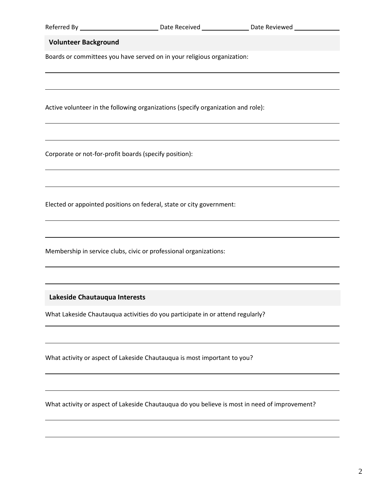| Referred By |  |
|-------------|--|
|-------------|--|

## **Volunteer Background**

Boards or committees you have served on in your religious organization:

Active volunteer in the following organizations (specify organization and role):

Corporate or not-for-profit boards (specify position):

Elected or appointed positions on federal, state or city government:

Membership in service clubs, civic or professional organizations:

**Lakeside Chautauqua Interests**

What Lakeside Chautauqua activities do you participate in or attend regularly?

What activity or aspect of Lakeside Chautauqua is most important to you?

What activity or aspect of Lakeside Chautauqua do you believe is most in need of improvement?